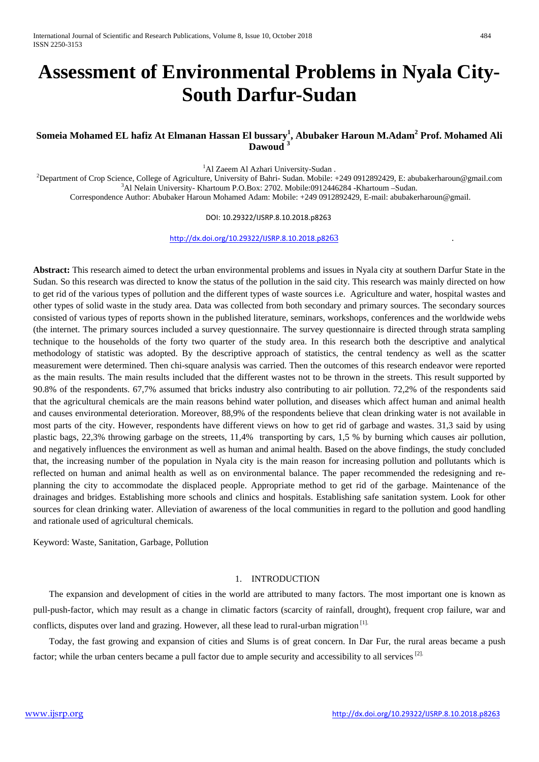# **Assessment of Environmental Problems in Nyala City-South Darfur-Sudan**

# **Someia Mohamed EL hafiz At Elmanan Hassan El bussary<sup>1</sup> , Abubaker Haroun M.Adam2 Prof. Mohamed Ali Dawoud <sup>3</sup>**

<sup>1</sup>Al Zaeem Al Azhari University-Sudan.

Al Zaeem Al Azhari University-Sudan .<sup>1</sup><br>Penartmant of Cron Science, College of Agriculture, University of Behri, Sudan Mobile<sup>,2</sup> Department of Crop Science, College of Agriculture, University of Bahri- Sudan. Mobile: +249 0912892429, E: abubakerharoun@gmail.com<br><sup>3</sup>Al Nolsin University, Khertoum P.O.Box: 2702, Mobile:0012446284, Khertoum, Sudan.  $A^3$ Al Nelain University- Khartoum P.O.Box: 2702. Mobile:0912446284 -Khartoum –Sudan. Correspondence Author: Abubaker Haroun Mohamed Adam: Mobile: +249 0912892429, E-mail: abubakerharoun@gmail.

DOI: 10.29322/IJSRP.8.10.2018.p8263

[http://dx.doi.org/10.29322/IJSRP.8.10.2018.p82](http://dx.doi.org/10.29322/IJSRP.8.10.2018.p8263)63 .

**Abstract:** This research aimed to detect the urban environmental problems and issues in Nyala city at southern Darfur State in the Sudan. So this research was directed to know the status of the pollution in the said city. This research was mainly directed on how to get rid of the various types of pollution and the different types of waste sources i.e. Agriculture and water, hospital wastes and other types of solid waste in the study area. Data was collected from both secondary and primary sources. The secondary sources consisted of various types of reports shown in the published literature, seminars, workshops, conferences and the worldwide webs (the internet. The primary sources included a survey questionnaire. The survey questionnaire is directed through strata sampling technique to the households of the forty two quarter of the study area. In this research both the descriptive and analytical methodology of statistic was adopted. By the descriptive approach of statistics, the central tendency as well as the scatter measurement were determined. Then chi-square analysis was carried. Then the outcomes of this research endeavor were reported as the main results. The main results included that the different wastes not to be thrown in the streets. This result supported by 90.8% of the respondents. 67,7% assumed that bricks industry also contributing to air pollution. 72,2% of the respondents said that the agricultural chemicals are the main reasons behind water pollution, and diseases which affect human and animal health and causes environmental deterioration. Moreover, 88,9% of the respondents believe that clean drinking water is not available in most parts of the city. However, respondents have different views on how to get rid of garbage and wastes. 31,3 said by using plastic bags, 22,3% throwing garbage on the streets, 11,4% transporting by cars, 1,5 % by burning which causes air pollution, and negatively influences the environment as well as human and animal health. Based on the above findings, the study concluded that, the increasing number of the population in Nyala city is the main reason for increasing pollution and pollutants which is reflected on human and animal health as well as on environmental balance. The paper recommended the redesigning and replanning the city to accommodate the displaced people. Appropriate method to get rid of the garbage. Maintenance of the drainages and bridges. Establishing more schools and clinics and hospitals. Establishing safe sanitation system. Look for other sources for clean drinking water. Alleviation of awareness of the local communities in regard to the pollution and good handling and rationale used of agricultural chemicals.

Keyword: Waste, Sanitation, Garbage, Pollution

## 1. INTRODUCTION

 The expansion and development of cities in the world are attributed to many factors. The most important one is known as pull-push-factor, which may result as a change in climatic factors (scarcity of rainfall, drought), frequent crop failure, war and conflicts, disputes over land and grazing. However, all these lead to rural-urban migration [1].

 Today, the fast growing and expansion of cities and Slums is of great concern. In Dar Fur, the rural areas became a push factor; while the urban centers became a pull factor due to ample security and accessibility to all services<sup>[2].</sup>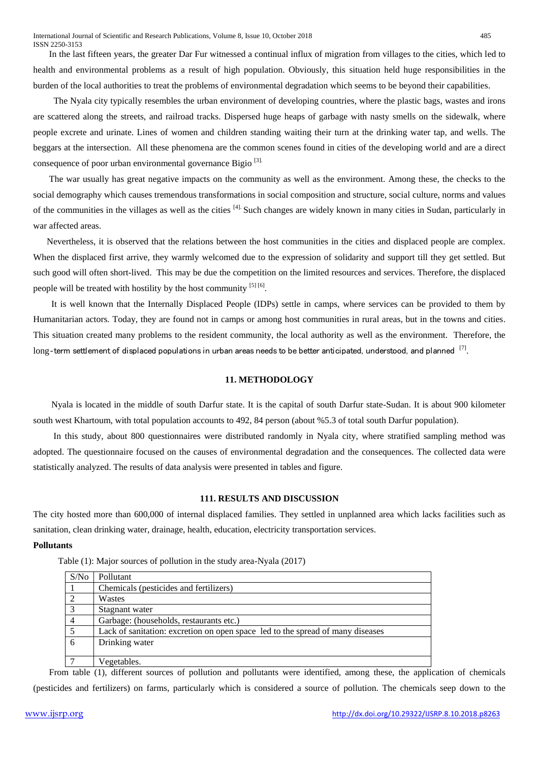In the last fifteen years, the greater Dar Fur witnessed a continual influx of migration from villages to the cities, which led to health and environmental problems as a result of high population. Obviously, this situation held huge responsibilities in the burden of the local authorities to treat the problems of environmental degradation which seems to be beyond their capabilities.

 The Nyala city typically resembles the urban environment of developing countries, where the plastic bags, wastes and irons are scattered along the streets, and railroad tracks. Dispersed huge heaps of garbage with nasty smells on the sidewalk, where people excrete and urinate. Lines of women and children standing waiting their turn at the drinking water tap, and wells. The beggars at the intersection. All these phenomena are the common scenes found in cities of the developing world and are a direct consequence of poor urban environmental governance Bigio [3].

 The war usually has great negative impacts on the community as well as the environment. Among these, the checks to the social demography which causes tremendous transformations in social composition and structure, social culture, norms and values of the communities in the villages as well as the cities [4]. Such changes are widely known in many cities in Sudan, particularly in war affected areas.

 Nevertheless, it is observed that the relations between the host communities in the cities and displaced people are complex. When the displaced first arrive, they warmly welcomed due to the expression of solidarity and support till they get settled. But such good will often short-lived. This may be due the competition on the limited resources and services. Therefore, the displaced people will be treated with hostility by the host community  $[5] [6]$ .

 It is well known that the Internally Displaced People (IDPs) settle in camps, where services can be provided to them by Humanitarian actors. Today, they are found not in camps or among host communities in rural areas, but in the towns and cities. This situation created many problems to the resident community, the local authority as well as the environment. Therefore, the long-term settlement of displaced populations in urban areas needs to be better anticipated, understood, and planned [7].

# **11. METHODOLOGY**

 Nyala is located in the middle of south Darfur state. It is the capital of south Darfur state-Sudan. It is about 900 kilometer south west Khartoum, with total population accounts to 492, 84 person (about %5.3 of total south Darfur population).

 In this study, about 800 questionnaires were distributed randomly in Nyala city, where stratified sampling method was adopted. The questionnaire focused on the causes of environmental degradation and the consequences. The collected data were statistically analyzed. The results of data analysis were presented in tables and figure.

#### **111. RESULTS AND DISCUSSION**

The city hosted more than 600,000 of internal displaced families. They settled in unplanned area which lacks facilities such as sanitation, clean drinking water, drainage, health, education, electricity transportation services.

#### **Pollutants**

Table (1): Major sources of pollution in the study area-Nyala (2017)

| S/N <sub>0</sub> | Pollutant                                                                      |
|------------------|--------------------------------------------------------------------------------|
|                  | Chemicals (pesticides and fertilizers)                                         |
|                  | Wastes                                                                         |
| 3                | Stagnant water                                                                 |
|                  | Garbage: (households, restaurants etc.)                                        |
|                  | Lack of sanitation: excretion on open space led to the spread of many diseases |
|                  | Drinking water                                                                 |
|                  |                                                                                |
|                  | Vegetables.                                                                    |

 From table (1), different sources of pollution and pollutants were identified, among these, the application of chemicals (pesticides and fertilizers) on farms, particularly which is considered a source of pollution. The chemicals seep down to the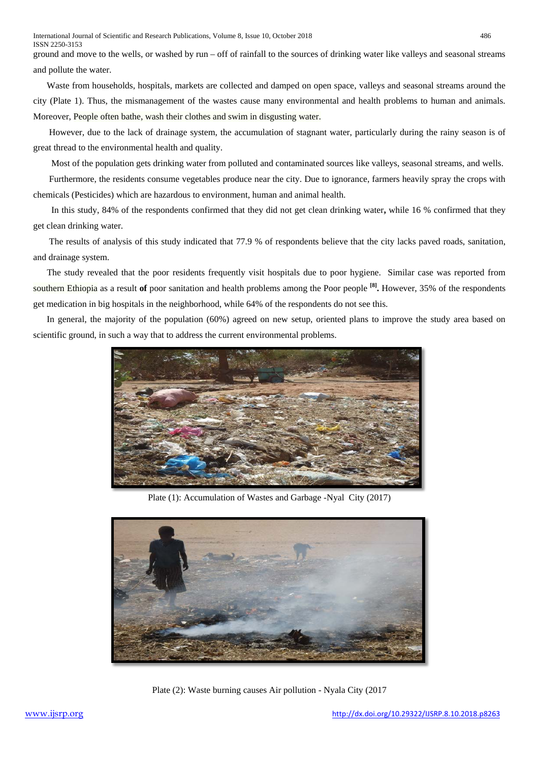ground and move to the wells, or washed by run – off of rainfall to the sources of drinking water like valleys and seasonal streams and pollute the water.

Waste from households, hospitals, markets are collected and damped on open space, valleys and seasonal streams around the city (Plate 1). Thus, the mismanagement of the wastes cause many environmental and health problems to human and animals. Moreover, People often bathe, wash their clothes and swim in disgusting water.

However, due to the lack of drainage system, the accumulation of stagnant water, particularly during the rainy season is of great thread to the environmental health and quality.

Most of the population gets drinking water from polluted and contaminated sources like valleys, seasonal streams, and wells.

 Furthermore, the residents consume vegetables produce near the city. Due to ignorance, farmers heavily spray the crops with chemicals (Pesticides) which are hazardous to environment, human and animal health.

 In this study, 84% of the respondents confirmed that they did not get clean drinking water**,** while 16 % confirmed that they get clean drinking water.

 The results of analysis of this study indicated that 77.9 % of respondents believe that the city lacks paved roads, sanitation, and drainage system.

 The study revealed that the poor residents frequently visit hospitals due to poor hygiene. Similar case was reported from southern Ethiopia as a result **of** poor sanitation and health problems among the Poor people **[8].** However, 35% of the respondents get medication in big hospitals in the neighborhood, while 64% of the respondents do not see this.

 In general, the majority of the population (60%) agreed on new setup, oriented plans to improve the study area based on scientific ground, in such a way that to address the current environmental problems.



Plate (1): Accumulation of Wastes and Garbage -Nyal City (2017)



Plate (2): Waste burning causes Air pollution - Nyala City (2017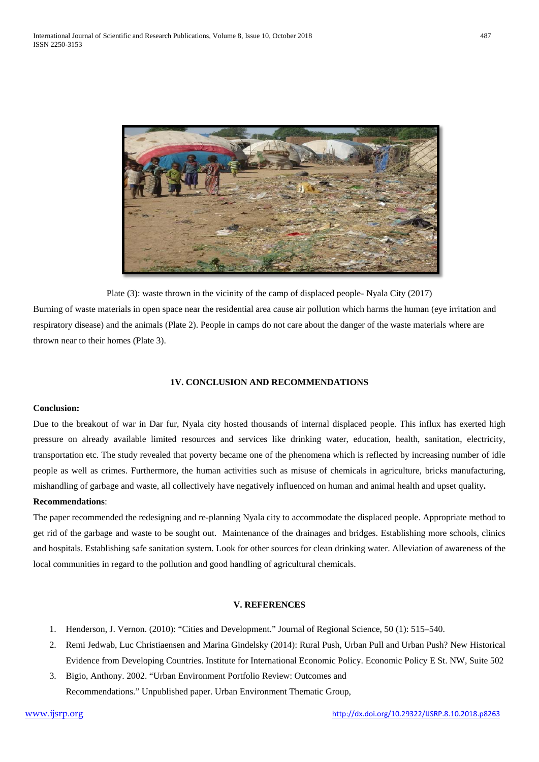

Plate (3): waste thrown in the vicinity of the camp of displaced people- Nyala City (2017)

Burning of waste materials in open space near the residential area cause air pollution which harms the human (eye irritation and respiratory disease) and the animals (Plate 2). People in camps do not care about the danger of the waste materials where are thrown near to their homes (Plate 3).

# **1V. CONCLUSION AND RECOMMENDATIONS**

#### **Conclusion:**

Due to the breakout of war in Dar fur, Nyala city hosted thousands of internal displaced people. This influx has exerted high pressure on already available limited resources and services like drinking water, education, health, sanitation, electricity, transportation etc. The study revealed that poverty became one of the phenomena which is reflected by increasing number of idle people as well as crimes. Furthermore, the human activities such as misuse of chemicals in agriculture, bricks manufacturing, mishandling of garbage and waste, all collectively have negatively influenced on human and animal health and upset quality**.**

# **Recommendations**:

The paper recommended the redesigning and re-planning Nyala city to accommodate the displaced people. Appropriate method to get rid of the garbage and waste to be sought out. Maintenance of the drainages and bridges. Establishing more schools, clinics and hospitals. Establishing safe sanitation system. Look for other sources for clean drinking water. Alleviation of awareness of the local communities in regard to the pollution and good handling of agricultural chemicals.

## **V. REFERENCES**

- 1. Henderson, J. Vernon. (2010): "Cities and Development." Journal of Regional Science, 50 (1): 515–540.
- 2. Remi Jedwab, Luc Christiaensen and Marina Gindelsky (2014): Rural Push, Urban Pull and Urban Push? New Historical Evidence from Developing Countries. Institute for International Economic Policy. Economic Policy E St. NW, Suite 502
- 3. Bigio, Anthony. 2002. "Urban Environment Portfolio Review: Outcomes and Recommendations." Unpublished paper. Urban Environment Thematic Group,